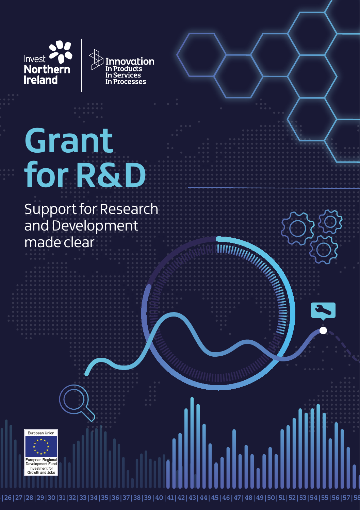



# **Grant for R&D**

Support for Research and Development made clear



126127128129130131132133134135136137138139140141142143144145146147148149150151152153154155156157158

IIIIIIIIIIIIII

ШШ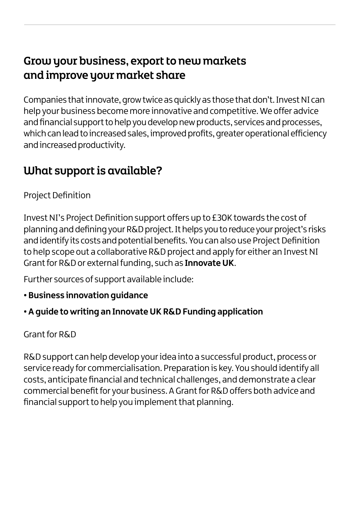## Grow your business, export to new markets and improve your market share

Companies that innovate, grow twice as quickly as those that don't. Invest NI can help your business become more innovative and competitive. We offer advice and financial support to help you develop new products, services and processes, which can lead to increased sales, improved profits, greater operational efficiency and increased productivity.

## What support is available?

Project Definition

Invest NI's Project Definition support offers up to £30K towards the cost of planning and defining your R&D project. It helps you to reduce your project's risks and identify its costs and potential benefits. You can also use Project Definition to help scope out a collaborative R&D project and apply for either an Invest NI Grant for R&D or external funding, such as **[Innovate UK](https://apply-for-innovation-funding.service.gov.uk/competition/search)**.

Further sources of support available include:

**[• Business innovation guidance](https://www.gov.uk/guidance/innovation-apply-for-a-funding-award)** 

#### **[• A guide to writing an Innovate UK R&D Funding application](https://www.investni.com/support-for-business/video-tutorials/innovate-uk-research-development-funding-application.html)**

#### Grant for R&D

R&D support can help develop your idea into a successful product, process or service ready for commercialisation. Preparation is key. You should identify all costs, anticipate financial and technical challenges, and demonstrate a clear commercial benefit for your business. A Grant for R&D offers both advice and financial support to help you implement that planning.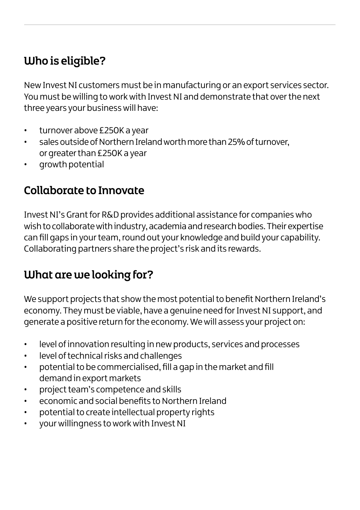# Who is eligible?

New Invest NI customers must be in manufacturing or an export services sector. You must be willing to work with Invest NI and demonstrate that over the next three years your business will have:

- turnover above £250K a year
- sales outside of Northern Ireland worth more than 25% of turnover, or greater than £250K a year
- growth potential

#### Collaborate to Innovate

Invest NI's Grant for R&D provides additional assistance for companies who wish to collaborate with industry, academia and research bodies. Their expertise can fill gaps in your team, round out your knowledge and build your capability. Collaborating partners share the project's risk and its rewards.

# What are we looking for?

We support projects that show the most potential to benefit Northern Ireland's economy. They must be viable, have a genuine need for Invest NI support, and generate a positive return for the economy. We will assess your project on:

- level of innovation resulting in new products, services and processes
- level of technical risks and challenges
- potential to be commercialised, fill a gap in the market and fill demand in export markets
- project team's competence and skills
- economic and social benefits to Northern Ireland
- potential to create intellectual property rights
- your willingness to work with Invest NI